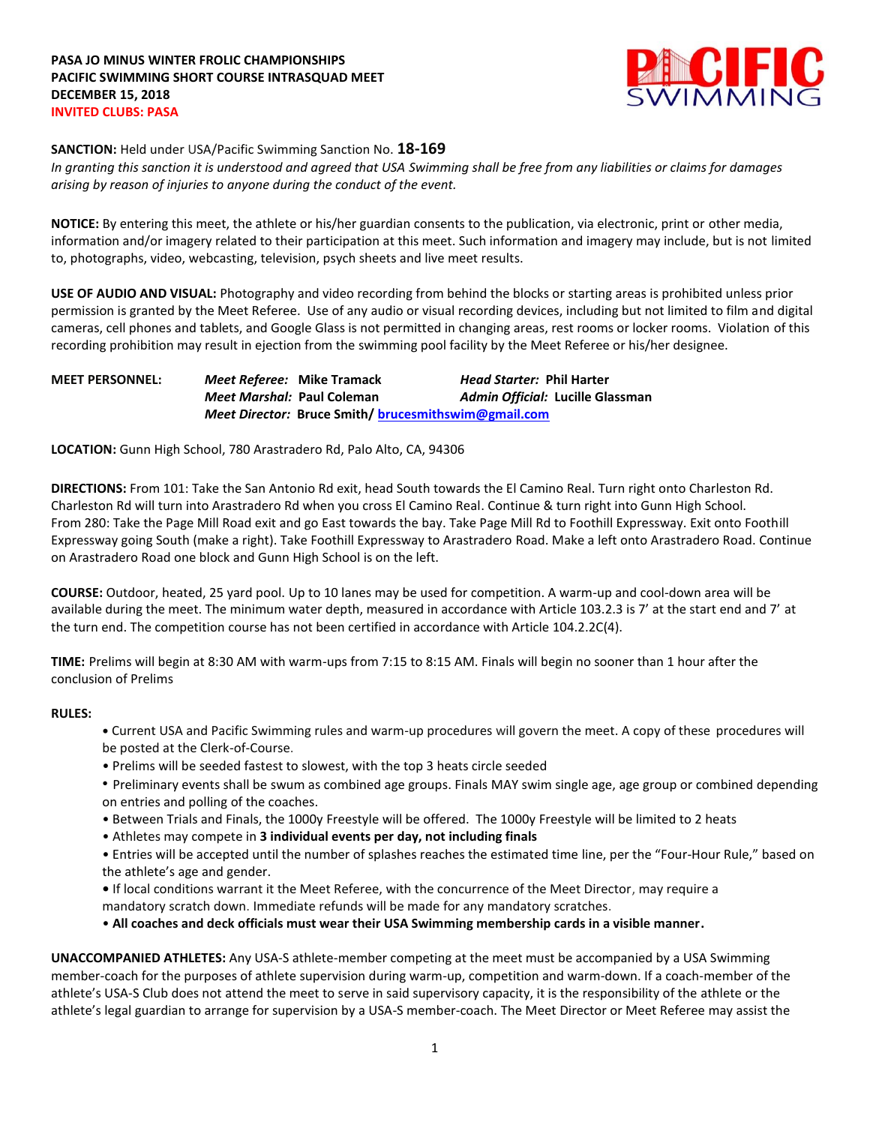

#### **SANCTION:** Held under USA/Pacific Swimming Sanction No. **18-169**

*In granting this sanction it is understood and agreed that USA Swimming shall be free from any liabilities or claims for damages arising by reason of injuries to anyone during the conduct of the event.*

**NOTICE:** By entering this meet, the athlete or his/her guardian consents to the publication, via electronic, print or other media, information and/or imagery related to their participation at this meet. Such information and imagery may include, but is not limited to, photographs, video, webcasting, television, psych sheets and live meet results.

**USE OF AUDIO AND VISUAL:** Photography and video recording from behind the blocks or starting areas is prohibited unless prior permission is granted by the Meet Referee. Use of any audio or visual recording devices, including but not limited to film and digital cameras, cell phones and tablets, and Google Glass is not permitted in changing areas, rest rooms or locker rooms. Violation of this recording prohibition may result in ejection from the swimming pool facility by the Meet Referee or his/her designee.

**MEET PERSONNEL:** *Meet Referee:* **Mike Tramack** *Head Starter:* **Phil Harter** *Meet Marshal:* **Paul Coleman** *Admin Official:* **Lucille Glassman** *Meet Director:* **Bruce Smith/ [brucesmithswim@gmail.com](mailto:brucesmithswim@gmail.com)**

**LOCATION:** Gunn High School, 780 Arastradero Rd, Palo Alto, CA, 94306

**DIRECTIONS:** From 101: Take the San Antonio Rd exit, head South towards the El Camino Real. Turn right onto Charleston Rd. Charleston Rd will turn into Arastradero Rd when you cross El Camino Real. Continue & turn right into Gunn High School. From 280: Take the Page Mill Road exit and go East towards the bay. Take Page Mill Rd to Foothill Expressway. Exit onto Foothill Expressway going South (make a right). Take Foothill Expressway to Arastradero Road. Make a left onto Arastradero Road. Continue on Arastradero Road one block and Gunn High School is on the left.

**COURSE:** Outdoor, heated, 25 yard pool. Up to 10 lanes may be used for competition. A warm-up and cool-down area will be available during the meet. The minimum water depth, measured in accordance with Article 103.2.3 is 7' at the start end and 7' at the turn end. The competition course has not been certified in accordance with Article 104.2.2C(4).

**TIME:** Prelims will begin at 8:30 AM with warm-ups from 7:15 to 8:15 AM. Finals will begin no sooner than 1 hour after the conclusion of Prelims

#### **RULES:**

- **•** Current USA and Pacific Swimming rules and warm-up procedures will govern the meet. A copy of these procedures will be posted at the Clerk-of-Course.
- Prelims will be seeded fastest to slowest, with the top 3 heats circle seeded
- Preliminary events shall be swum as combined age groups. Finals MAY swim single age, age group or combined depending on entries and polling of the coaches.
- Between Trials and Finals, the 1000y Freestyle will be offered. The 1000y Freestyle will be limited to 2 heats
- Athletes may compete in **3 individual events per day, not including finals**

• Entries will be accepted until the number of splashes reaches the estimated time line, per the "Four-Hour Rule," based on the athlete's age and gender.

**•** If local conditions warrant it the Meet Referee, with the concurrence of the Meet Director, may require a mandatory scratch down. Immediate refunds will be made for any mandatory scratches.

• **All coaches and deck officials must wear their USA Swimming membership cards in a visible manner.** 

**UNACCOMPANIED ATHLETES:** Any USA-S athlete-member competing at the meet must be accompanied by a USA Swimming member-coach for the purposes of athlete supervision during warm-up, competition and warm-down. If a coach-member of the athlete's USA-S Club does not attend the meet to serve in said supervisory capacity, it is the responsibility of the athlete or the athlete's legal guardian to arrange for supervision by a USA-S member-coach. The Meet Director or Meet Referee may assist the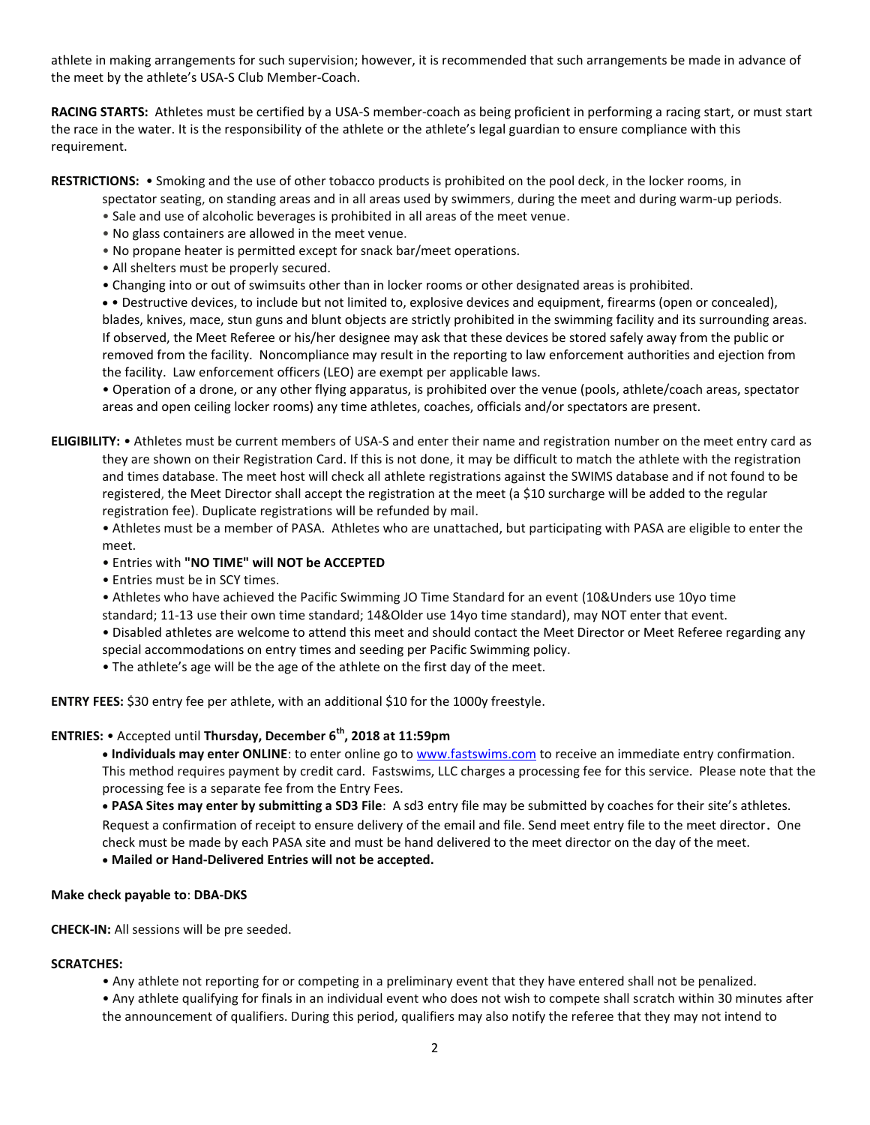athlete in making arrangements for such supervision; however, it is recommended that such arrangements be made in advance of the meet by the athlete's USA-S Club Member-Coach.

**RACING STARTS:** Athletes must be certified by a USA-S member-coach as being proficient in performing a racing start, or must start the race in the water. It is the responsibility of the athlete or the athlete's legal guardian to ensure compliance with this requirement.

**RESTRICTIONS:** • Smoking and the use of other tobacco products is prohibited on the pool deck, in the locker rooms, in

spectator seating, on standing areas and in all areas used by swimmers, during the meet and during warm-up periods.

- Sale and use of alcoholic beverages is prohibited in all areas of the meet venue.
- No glass containers are allowed in the meet venue.
- No propane heater is permitted except for snack bar/meet operations.
- All shelters must be properly secured.
- Changing into or out of swimsuits other than in locker rooms or other designated areas is prohibited.

 • Destructive devices, to include but not limited to, explosive devices and equipment, firearms (open or concealed), blades, knives, mace, stun guns and blunt objects are strictly prohibited in the swimming facility and its surrounding areas. If observed, the Meet Referee or his/her designee may ask that these devices be stored safely away from the public or removed from the facility. Noncompliance may result in the reporting to law enforcement authorities and ejection from the facility. Law enforcement officers (LEO) are exempt per applicable laws.

• Operation of a drone, or any other flying apparatus, is prohibited over the venue (pools, athlete/coach areas, spectator areas and open ceiling locker rooms) any time athletes, coaches, officials and/or spectators are present.

**ELIGIBILITY:** • Athletes must be current members of USA-S and enter their name and registration number on the meet entry card as they are shown on their Registration Card. If this is not done, it may be difficult to match the athlete with the registration and times database. The meet host will check all athlete registrations against the SWIMS database and if not found to be registered, the Meet Director shall accept the registration at the meet (a \$10 surcharge will be added to the regular registration fee). Duplicate registrations will be refunded by mail.

• Athletes must be a member of PASA. Athletes who are unattached, but participating with PASA are eligible to enter the meet.

- Entries with **"NO TIME" will NOT be ACCEPTED**
- Entries must be in SCY times.
- Athletes who have achieved the Pacific Swimming JO Time Standard for an event (10&Unders use 10yo time

standard; 11-13 use their own time standard; 14&Older use 14yo time standard), may NOT enter that event.

• Disabled athletes are welcome to attend this meet and should contact the Meet Director or Meet Referee regarding any special accommodations on entry times and seeding per Pacific Swimming policy.

• The athlete's age will be the age of the athlete on the first day of the meet.

**ENTRY FEES:** \$30 entry fee per athlete, with an additional \$10 for the 1000y freestyle.

# **ENTRIES:** • Accepted until **Thursday, December 6th, 2018 at 11:59pm**

 **Individuals may enter ONLINE**: to enter online go to [www.fastswims.com](http://www.fastswims.com/) to receive an immediate entry confirmation. This method requires payment by credit card. Fastswims, LLC charges a processing fee for this service. Please note that the processing fee is a separate fee from the Entry Fees.

 **PASA Sites may enter by submitting a SD3 File**: A sd3 entry file may be submitted by coaches for their site's athletes. Request a confirmation of receipt to ensure delivery of the email and file. Send meet entry file to the meet director. One check must be made by each PASA site and must be hand delivered to the meet director on the day of the meet.

**Mailed or Hand-Delivered Entries will not be accepted.**

## **Make check payable to**: **DBA-DKS**

**CHECK-IN:** All sessions will be pre seeded.

## **SCRATCHES:**

• Any athlete not reporting for or competing in a preliminary event that they have entered shall not be penalized.

• Any athlete qualifying for finals in an individual event who does not wish to compete shall scratch within 30 minutes after the announcement of qualifiers. During this period, qualifiers may also notify the referee that they may not intend to